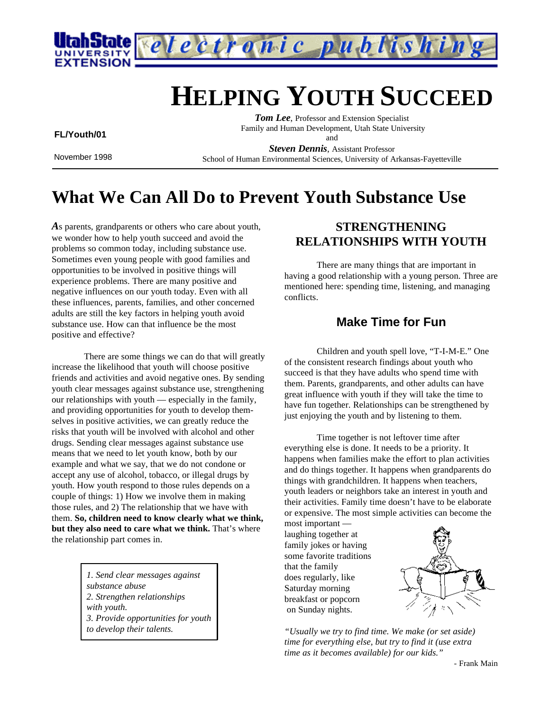

# **HELPING YOUTH SUCCEED**

 **FL/Youth/01**

November 1998

*Tom Lee*, Professor and Extension Specialist Family and Human Development, Utah State University and

*Steven Dennis*, Assistant Professor School of Human Environmental Sciences, University of Arkansas-Fayetteville

## **What We Can All Do to Prevent Youth Substance Use**

*A*s parents, grandparents or others who care about youth, we wonder how to help youth succeed and avoid the problems so common today, including substance use. Sometimes even young people with good families and opportunities to be involved in positive things will experience problems. There are many positive and negative influences on our youth today. Even with all these influences, parents, families, and other concerned adults are still the key factors in helping youth avoid substance use. How can that influence be the most positive and effective?

There are some things we can do that will greatly increase the likelihood that youth will choose positive friends and activities and avoid negative ones. By sending youth clear messages against substance use, strengthening our relationships with youth — especially in the family, and providing opportunities for youth to develop themselves in positive activities, we can greatly reduce the risks that youth will be involved with alcohol and other drugs. Sending clear messages against substance use means that we need to let youth know, both by our example and what we say, that we do not condone or accept any use of alcohol, tobacco, or illegal drugs by youth. How youth respond to those rules depends on a couple of things: 1) How we involve them in making those rules, and 2) The relationship that we have with them. **So, children need to know clearly what we think, but they also need to care what we think.** That's where the relationship part comes in.

> *1. Send clear messages against substance abuse 2. Strengthen relationships with youth. 3. Provide opportunities for youth to develop their talents.*

### **STRENGTHENING RELATIONSHIPS WITH YOUTH**

There are many things that are important in having a good relationship with a young person. Three are mentioned here: spending time, listening, and managing conflicts.

### **Make Time for Fun**

Children and youth spell love, "T-I-M-E." One of the consistent research findings about youth who succeed is that they have adults who spend time with them. Parents, grandparents, and other adults can have great influence with youth if they will take the time to have fun together. Relationships can be strengthened by just enjoying the youth and by listening to them.

Time together is not leftover time after everything else is done. It needs to be a priority. It happens when families make the effort to plan activities and do things together. It happens when grandparents do things with grandchildren. It happens when teachers, youth leaders or neighbors take an interest in youth and their activities. Family time doesn't have to be elaborate or expensive. The most simple activities can become the

most important laughing together at family jokes or having some favorite traditions that the family does regularly, like Saturday morning breakfast or popcorn on Sunday nights.



*"Usually we try to find time. We make (or set aside) time for everything else, but try to find it (use extra time as it becomes available) for our kids."*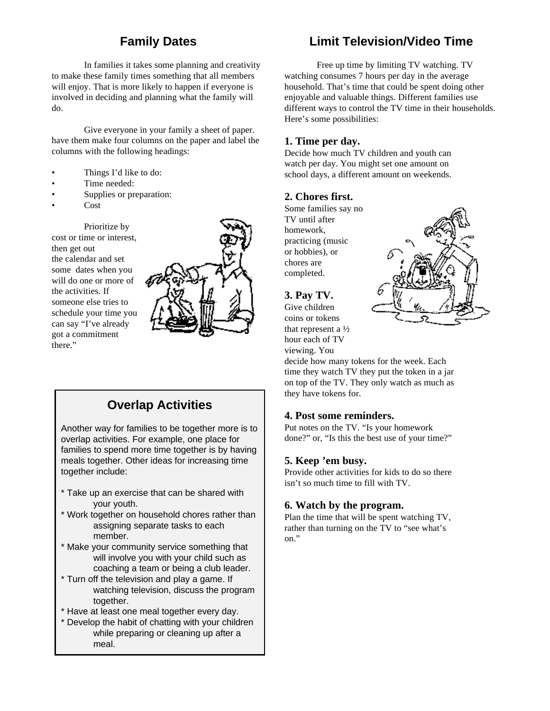### **Family Dates**

In families it takes some planning and creativity to make these family times something that all members will enjoy. That is more likely to happen if everyone is involved in deciding and planning what the family will do.

Give everyone in your family a sheet of paper. have them make four columns on the paper and label the columns with the following headings:

- Things I'd like to do:
- Time needed:
- Supplies or preparation:
- Cost

Prioritize by cost or time or interest, then get out the calendar and set some dates when you will do one or more of the activities. If someone else tries to schedule your time you can say "I've already got a commitment there."



### **Overlap Activities**

Another way for families to be together more is to overlap activities. For example, one place for families to spend more time together is by having meals together. Other ideas for increasing time together include:

- \* Take up an exercise that can be shared with your youth.
- \* Work together on household chores rather than assigning separate tasks to each member.
- \* Make your community service something that will involve you with your child such as coaching a team or being a club leader.
- \* Turn off the television and play a game. If watching television, discuss the program together.
- \* Have at least one meal together every day.
- \* Develop the habit of chatting with your children while preparing or cleaning up after a meal.

### **Limit Television/Video Time**

Free up time by limiting TV watching. TV watching consumes 7 hours per day in the average household. That's time that could be spent doing other enjoyable and valuable things. Different families use different ways to control the TV time in their households. Here's some possibilities:

#### **1. Time per day.**

Decide how much TV children and youth can watch per day. You might set one amount on school days, a different amount on weekends.

#### **2. Chores first.**

Some families say no TV until after homework, practicing (music or hobbies), or chores are completed.



**3. Pay TV.**

Give children coins or tokens that represent a ½ hour each of TV viewing. You

decide how many tokens for the week. Each time they watch TV they put the token in a jar on top of the TV. They only watch as much as they have tokens for.

#### **4. Post some reminders.**

Put notes on the TV. "Is your homework done?" or, "Is this the best use of your time?"

#### **5. Keep 'em busy.**

Provide other activities for kids to do so there isn't so much time to fill with TV.

#### **6. Watch by the program.**

Plan the time that will be spent watching TV, rather than turning on the TV to "see what's on."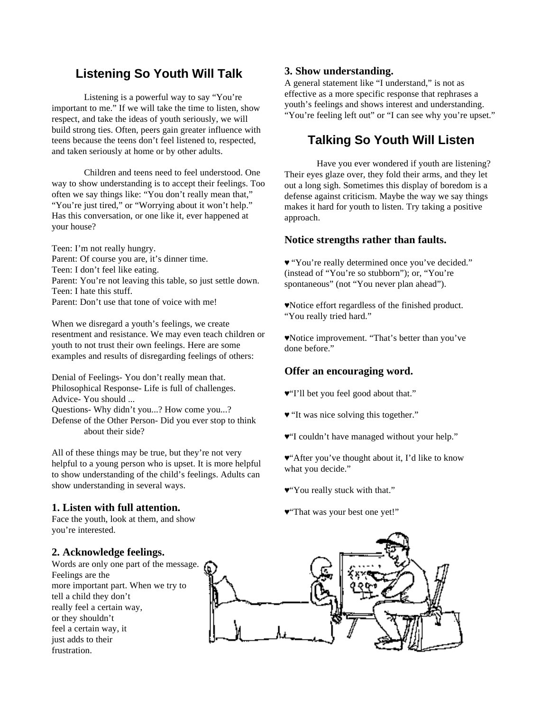### **Listening So Youth Will Talk**

Listening is a powerful way to say "You're important to me." If we will take the time to listen, show respect, and take the ideas of youth seriously, we will build strong ties. Often, peers gain greater influence with teens because the teens don't feel listened to, respected, and taken seriously at home or by other adults.

Children and teens need to feel understood. One way to show understanding is to accept their feelings. Too often we say things like: "You don't really mean that," "You're just tired," or "Worrying about it won't help." Has this conversation, or one like it, ever happened at your house?

Teen: I'm not really hungry. Parent: Of course you are, it's dinner time. Teen: I don't feel like eating. Parent: You're not leaving this table, so just settle down. Teen: I hate this stuff. Parent: Don't use that tone of voice with me!

When we disregard a youth's feelings, we create resentment and resistance. We may even teach children or youth to not trust their own feelings. Here are some examples and results of disregarding feelings of others:

Denial of Feelings- You don't really mean that. Philosophical Response- Life is full of challenges. Advice- You should ...

Questions- Why didn't you...? How come you...? Defense of the Other Person- Did you ever stop to think

about their side?

All of these things may be true, but they're not very helpful to a young person who is upset. It is more helpful to show understanding of the child's feelings. Adults can show understanding in several ways.

#### **1. Listen with full attention.**

Face the youth, look at them, and show you're interested.

#### **2. Acknowledge feelings.**

Words are only one part of the message. Feelings are the more important part. When we try to tell a child they don't really feel a certain way, or they shouldn't feel a certain way, it just adds to their frustration.

#### **3. Show understanding.**

A general statement like "I understand," is not as effective as a more specific response that rephrases a youth's feelings and shows interest and understanding. "You're feeling left out" or "I can see why you're upset."

### **Talking So Youth Will Listen**

Have you ever wondered if youth are listening? Their eyes glaze over, they fold their arms, and they let out a long sigh. Sometimes this display of boredom is a defense against criticism. Maybe the way we say things makes it hard for youth to listen. Try taking a positive approach.

#### **Notice strengths rather than faults.**

Ã "You're really determined once you've decided." (instead of "You're so stubborn"); or, "You're spontaneous" (not "You never plan ahead").

ÃNotice effort regardless of the finished product. "You really tried hard."

ÃNotice improvement. "That's better than you've done before."

#### **Offer an encouraging word.**

- Ã"I'll bet you feel good about that."
- Ã "It was nice solving this together."
- $\Psi$ "I couldn't have managed without your help."

Ã"After you've thought about it, I'd like to know what you decide."

- Ã"You really stuck with that."
- Ã"That was your best one yet!"

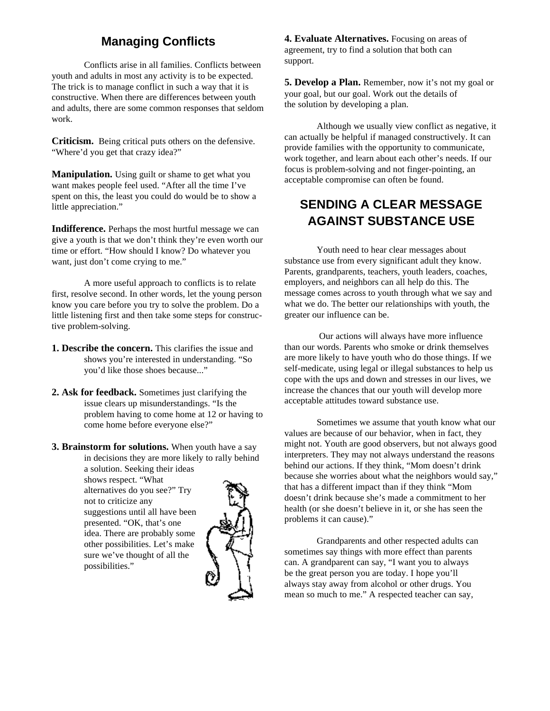### **Managing Conflicts**

Conflicts arise in all families. Conflicts between youth and adults in most any activity is to be expected. The trick is to manage conflict in such a way that it is constructive. When there are differences between youth and adults, there are some common responses that seldom work.

**Criticism.** Being critical puts others on the defensive. "Where'd you get that crazy idea?"

**Manipulation.** Using guilt or shame to get what you want makes people feel used. "After all the time I've spent on this, the least you could do would be to show a little appreciation."

**Indifference.** Perhaps the most hurtful message we can give a youth is that we don't think they're even worth our time or effort. "How should I know? Do whatever you want, just don't come crying to me."

A more useful approach to conflicts is to relate first, resolve second. In other words, let the young person know you care before you try to solve the problem. Do a little listening first and then take some steps for constructive problem-solving.

- **1. Describe the concern.** This clarifies the issue and shows you're interested in understanding. "So you'd like those shoes because..."
- **2. Ask for feedback.** Sometimes just clarifying the issue clears up misunderstandings. "Is the problem having to come home at 12 or having to come home before everyone else?"
- **3. Brainstorm for solutions.** When youth have a say in decisions they are more likely to rally behind a solution. Seeking their ideas shows respect. "What

alternatives do you see?" Try not to criticize any suggestions until all have been presented. "OK, that's one idea. There are probably some other possibilities. Let's make sure we've thought of all the possibilities."



**4. Evaluate Alternatives.** Focusing on areas of agreement, try to find a solution that both can support.

**5. Develop a Plan.** Remember, now it's not my goal or your goal, but our goal. Work out the details of the solution by developing a plan.

Although we usually view conflict as negative, it can actually be helpful if managed constructively. It can provide families with the opportunity to communicate, work together, and learn about each other's needs. If our focus is problem-solving and not finger-pointing, an acceptable compromise can often be found.

### **SENDING A CLEAR MESSAGE AGAINST SUBSTANCE USE**

Youth need to hear clear messages about substance use from every significant adult they know. Parents, grandparents, teachers, youth leaders, coaches, employers, and neighbors can all help do this. The message comes across to youth through what we say and what we do. The better our relationships with youth, the greater our influence can be.

 Our actions will always have more influence than our words. Parents who smoke or drink themselves are more likely to have youth who do those things. If we self-medicate, using legal or illegal substances to help us cope with the ups and down and stresses in our lives, we increase the chances that our youth will develop more acceptable attitudes toward substance use.

Sometimes we assume that youth know what our values are because of our behavior, when in fact, they might not. Youth are good observers, but not always good interpreters. They may not always understand the reasons behind our actions. If they think, "Mom doesn't drink because she worries about what the neighbors would say," that has a different impact than if they think "Mom doesn't drink because she's made a commitment to her health (or she doesn't believe in it, or she has seen the problems it can cause)."

Grandparents and other respected adults can sometimes say things with more effect than parents can. A grandparent can say, "I want you to always be the great person you are today. I hope you'll always stay away from alcohol or other drugs. You mean so much to me." A respected teacher can say,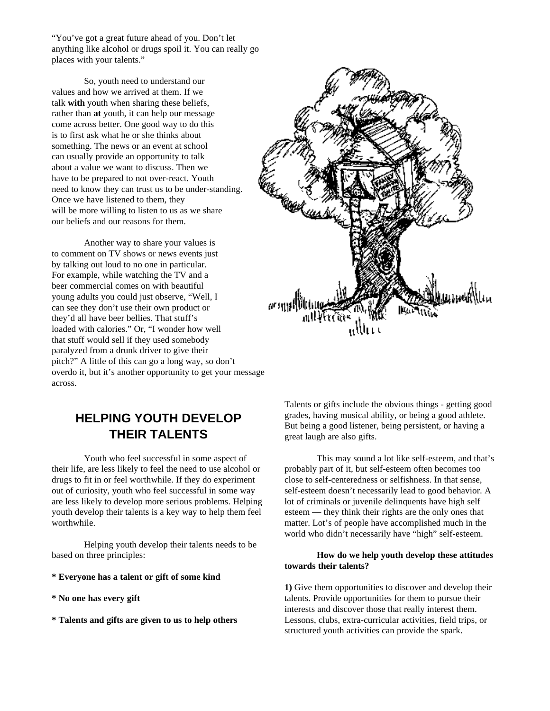"You've got a great future ahead of you. Don't let anything like alcohol or drugs spoil it. You can really go places with your talents."

So, youth need to understand our values and how we arrived at them. If we talk **with** youth when sharing these beliefs, rather than **at** youth, it can help our message come across better. One good way to do this is to first ask what he or she thinks about something. The news or an event at school can usually provide an opportunity to talk about a value we want to discuss. Then we have to be prepared to not over-react. Youth need to know they can trust us to be under-standing. Once we have listened to them, they will be more willing to listen to us as we share our beliefs and our reasons for them.

Another way to share your values is to comment on TV shows or news events just by talking out loud to no one in particular. For example, while watching the TV and a beer commercial comes on with beautiful young adults you could just observe, "Well, I can see they don't use their own product or they'd all have beer bellies. That stuff's loaded with calories." Or, "I wonder how well that stuff would sell if they used somebody paralyzed from a drunk driver to give their pitch?" A little of this can go a long way, so don't overdo it, but it's another opportunity to get your message across.

### **HELPING YOUTH DEVELOP THEIR TALENTS**

Youth who feel successful in some aspect of their life, are less likely to feel the need to use alcohol or drugs to fit in or feel worthwhile. If they do experiment out of curiosity, youth who feel successful in some way are less likely to develop more serious problems. Helping youth develop their talents is a key way to help them feel worthwhile.

Helping youth develop their talents needs to be based on three principles:

- **\* Everyone has a talent or gift of some kind**
- **\* No one has every gift**
- **\* Talents and gifts are given to us to help others**

Talents or gifts include the obvious things - getting good grades, having musical ability, or being a good athlete. But being a good listener, being persistent, or having a great laugh are also gifts.

This may sound a lot like self-esteem, and that's probably part of it, but self-esteem often becomes too close to self-centeredness or selfishness. In that sense, self-esteem doesn't necessarily lead to good behavior. A lot of criminals or juvenile delinquents have high self esteem — they think their rights are the only ones that matter. Lot's of people have accomplished much in the world who didn't necessarily have "high" self-esteem.

#### **How do we help youth develop these attitudes towards their talents?**

**1)** Give them opportunities to discover and develop their talents. Provide opportunities for them to pursue their interests and discover those that really interest them. Lessons, clubs, extra-curricular activities, field trips, or structured youth activities can provide the spark.